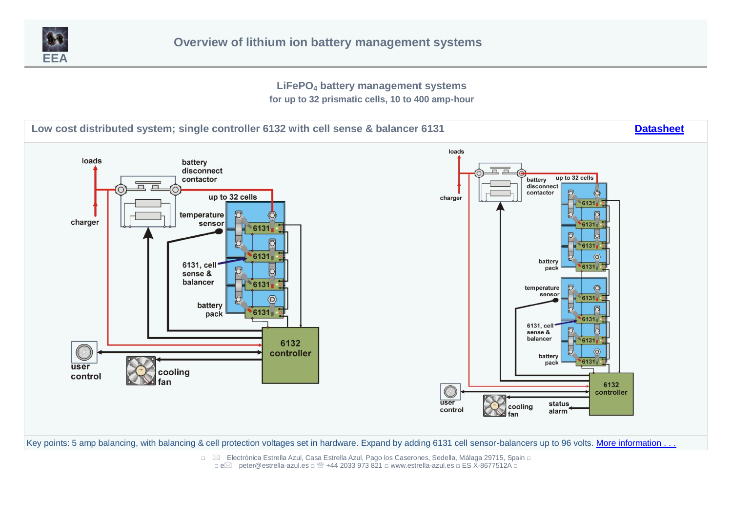

**LiFePO<sup>4</sup> battery management systems**

**for up to 32 prismatic cells, 10 to 400 amp-hour**

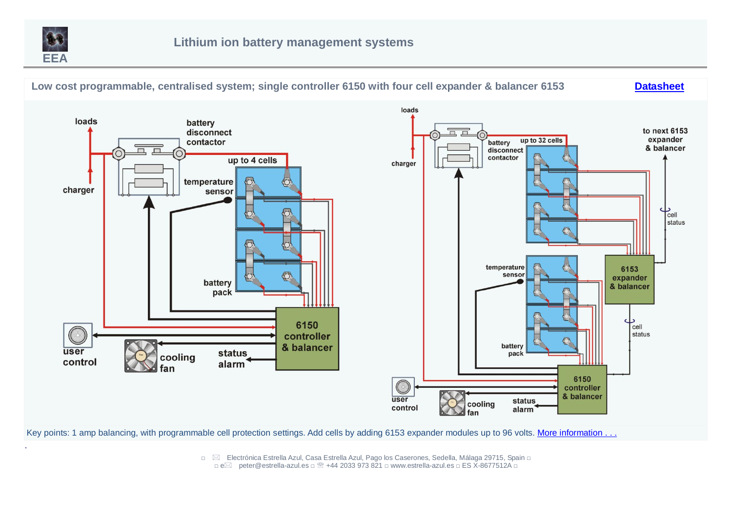

.



Key points: 1 amp balancing, with programmable cell protection settings. Add cells by adding 6153 expander modules up to 96 volts. [More information . . .](#page-5-0)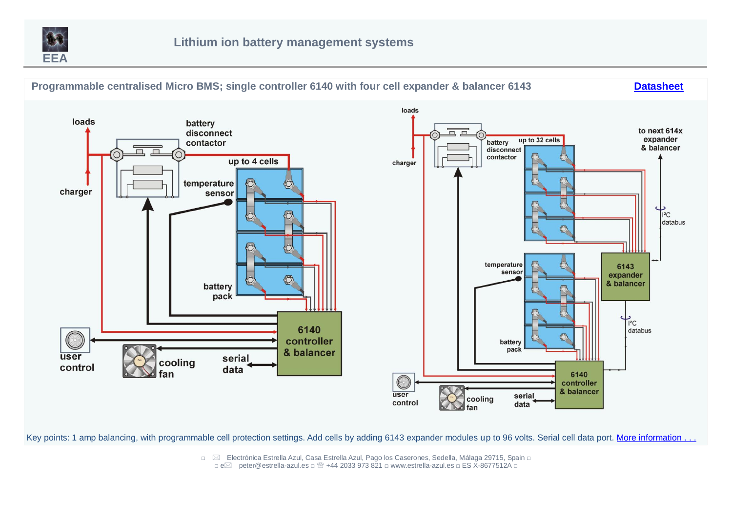



Key points: 1 amp balancing, with programmable cell protection settings. Add cells by adding 6143 expander modules up to 96 volts. Serial cell data port. [More information . . .](#page-6-0)

□ ⊠ Electrónica Estrella Azul, Casa Estrella Azul, Pago los Caserones, Sedella, Málaga 29715, Spain □

<sup>□</sup> epeter@estrella-azul.es □ +44 2033 973 821 □ www.estrella-azul.es □ ES X-8677512A □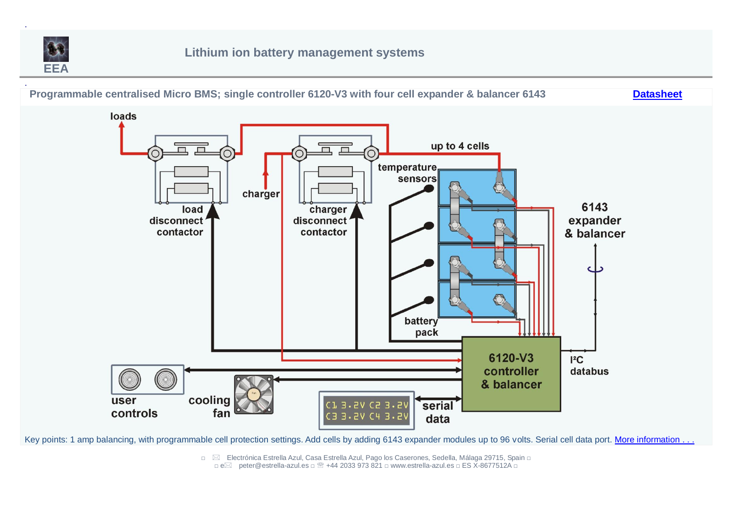

.



Key points: 1 amp balancing, with programmable cell protection settings. Add cells by adding 6143 expander modules up to 96 volts. Serial cell data port. [More information . . .](#page-7-0)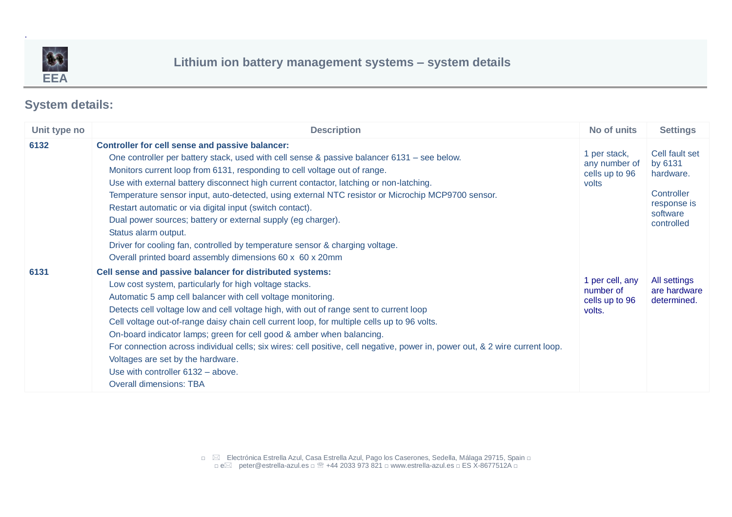

.

## **Lithium ion battery management systems – system details**

## **System details:**

<span id="page-4-0"></span>

| Unit type no | <b>Description</b>                                                                                                                                                                                                                                                                                                                                                                                                                                                                                                                                                                                                                                                                                                                | No of units                                              | <b>Settings</b>                                                                               |
|--------------|-----------------------------------------------------------------------------------------------------------------------------------------------------------------------------------------------------------------------------------------------------------------------------------------------------------------------------------------------------------------------------------------------------------------------------------------------------------------------------------------------------------------------------------------------------------------------------------------------------------------------------------------------------------------------------------------------------------------------------------|----------------------------------------------------------|-----------------------------------------------------------------------------------------------|
| 6132         | <b>Controller for cell sense and passive balancer:</b><br>One controller per battery stack, used with cell sense & passive balancer 6131 - see below.<br>Monitors current loop from 6131, responding to cell voltage out of range.<br>Use with external battery disconnect high current contactor, latching or non-latching.<br>Temperature sensor input, auto-detected, using external NTC resistor or Microchip MCP9700 sensor.<br>Restart automatic or via digital input (switch contact).<br>Dual power sources; battery or external supply (eg charger).<br>Status alarm output.<br>Driver for cooling fan, controlled by temperature sensor & charging voltage.<br>Overall printed board assembly dimensions 60 x 60 x 20mm | 1 per stack,<br>any number of<br>cells up to 96<br>volts | Cell fault set<br>by 6131<br>hardware.<br>Controller<br>response is<br>software<br>controlled |
| 6131         | Cell sense and passive balancer for distributed systems:<br>Low cost system, particularly for high voltage stacks.<br>Automatic 5 amp cell balancer with cell voltage monitoring.<br>Detects cell voltage low and cell voltage high, with out of range sent to current loop<br>Cell voltage out-of-range daisy chain cell current loop, for multiple cells up to 96 volts.<br>On-board indicator lamps; green for cell good & amber when balancing.<br>For connection across individual cells; six wires: cell positive, cell negative, power in, power out, & 2 wire current loop.<br>Voltages are set by the hardware.<br>Use with controller 6132 - above.<br><b>Overall dimensions: TBA</b>                                   | 1 per cell, any<br>number of<br>cells up to 96<br>volts. | All settings<br>are hardware<br>determined.                                                   |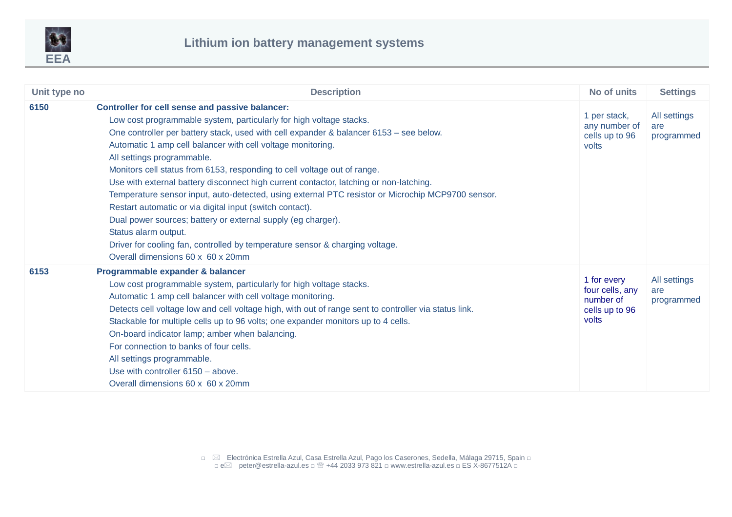

<span id="page-5-0"></span>

| Unit type no | <b>Description</b>                                                                                                                                                                                                                                                                                                                                                                                                                                                                                                                                                                                                                                                                                                                                                                                                                                                       | No of units                                                            | <b>Settings</b>                   |
|--------------|--------------------------------------------------------------------------------------------------------------------------------------------------------------------------------------------------------------------------------------------------------------------------------------------------------------------------------------------------------------------------------------------------------------------------------------------------------------------------------------------------------------------------------------------------------------------------------------------------------------------------------------------------------------------------------------------------------------------------------------------------------------------------------------------------------------------------------------------------------------------------|------------------------------------------------------------------------|-----------------------------------|
| 6150         | <b>Controller for cell sense and passive balancer:</b><br>Low cost programmable system, particularly for high voltage stacks.<br>One controller per battery stack, used with cell expander & balancer 6153 - see below.<br>Automatic 1 amp cell balancer with cell voltage monitoring.<br>All settings programmable.<br>Monitors cell status from 6153, responding to cell voltage out of range.<br>Use with external battery disconnect high current contactor, latching or non-latching.<br>Temperature sensor input, auto-detected, using external PTC resistor or Microchip MCP9700 sensor.<br>Restart automatic or via digital input (switch contact).<br>Dual power sources; battery or external supply (eg charger).<br>Status alarm output.<br>Driver for cooling fan, controlled by temperature sensor & charging voltage.<br>Overall dimensions 60 x 60 x 20mm | 1 per stack,<br>any number of<br>cells up to 96<br>volts               | All settings<br>are<br>programmed |
| 6153         | Programmable expander & balancer<br>Low cost programmable system, particularly for high voltage stacks.<br>Automatic 1 amp cell balancer with cell voltage monitoring.<br>Detects cell voltage low and cell voltage high, with out of range sent to controller via status link.<br>Stackable for multiple cells up to 96 volts; one expander monitors up to 4 cells.<br>On-board indicator lamp; amber when balancing.<br>For connection to banks of four cells.<br>All settings programmable.<br>Use with controller 6150 - above.<br>Overall dimensions 60 x 60 x 20mm                                                                                                                                                                                                                                                                                                 | 1 for every<br>four cells, any<br>number of<br>cells up to 96<br>volts | All settings<br>are<br>programmed |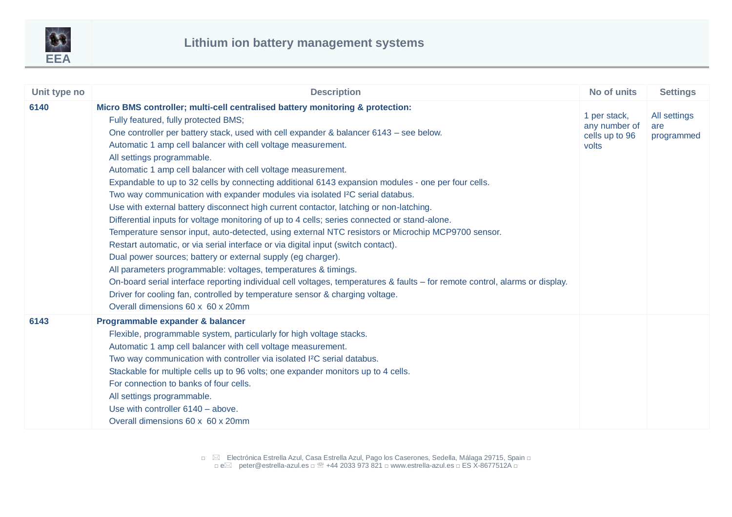

<span id="page-6-0"></span>

| Unit type no | <b>Description</b>                                                                                                                                                                                                                                                                                                                                                                                                                                                                                                                                                                                                                                                                                                                                                                                                                                                                                                                                                                                                                                                                                                                                                                                                                                                                                                                                            | No of units                                              | <b>Settings</b>                   |
|--------------|---------------------------------------------------------------------------------------------------------------------------------------------------------------------------------------------------------------------------------------------------------------------------------------------------------------------------------------------------------------------------------------------------------------------------------------------------------------------------------------------------------------------------------------------------------------------------------------------------------------------------------------------------------------------------------------------------------------------------------------------------------------------------------------------------------------------------------------------------------------------------------------------------------------------------------------------------------------------------------------------------------------------------------------------------------------------------------------------------------------------------------------------------------------------------------------------------------------------------------------------------------------------------------------------------------------------------------------------------------------|----------------------------------------------------------|-----------------------------------|
| 6140         | Micro BMS controller; multi-cell centralised battery monitoring & protection:<br>Fully featured, fully protected BMS;<br>One controller per battery stack, used with cell expander & balancer 6143 - see below.<br>Automatic 1 amp cell balancer with cell voltage measurement.<br>All settings programmable.<br>Automatic 1 amp cell balancer with cell voltage measurement.<br>Expandable to up to 32 cells by connecting additional 6143 expansion modules - one per four cells.<br>Two way communication with expander modules via isolated I <sup>2</sup> C serial databus.<br>Use with external battery disconnect high current contactor, latching or non-latching.<br>Differential inputs for voltage monitoring of up to 4 cells; series connected or stand-alone.<br>Temperature sensor input, auto-detected, using external NTC resistors or Microchip MCP9700 sensor.<br>Restart automatic, or via serial interface or via digital input (switch contact).<br>Dual power sources; battery or external supply (eg charger).<br>All parameters programmable: voltages, temperatures & timings.<br>On-board serial interface reporting individual cell voltages, temperatures & faults - for remote control, alarms or display.<br>Driver for cooling fan, controlled by temperature sensor & charging voltage.<br>Overall dimensions 60 x 60 x 20mm | 1 per stack,<br>any number of<br>cells up to 96<br>volts | All settings<br>are<br>programmed |
| 6143         | Programmable expander & balancer<br>Flexible, programmable system, particularly for high voltage stacks.<br>Automatic 1 amp cell balancer with cell voltage measurement.<br>Two way communication with controller via isolated I <sup>2</sup> C serial databus.<br>Stackable for multiple cells up to 96 volts; one expander monitors up to 4 cells.<br>For connection to banks of four cells.<br>All settings programmable.<br>Use with controller 6140 - above.<br>Overall dimensions 60 x 60 x 20mm                                                                                                                                                                                                                                                                                                                                                                                                                                                                                                                                                                                                                                                                                                                                                                                                                                                        |                                                          |                                   |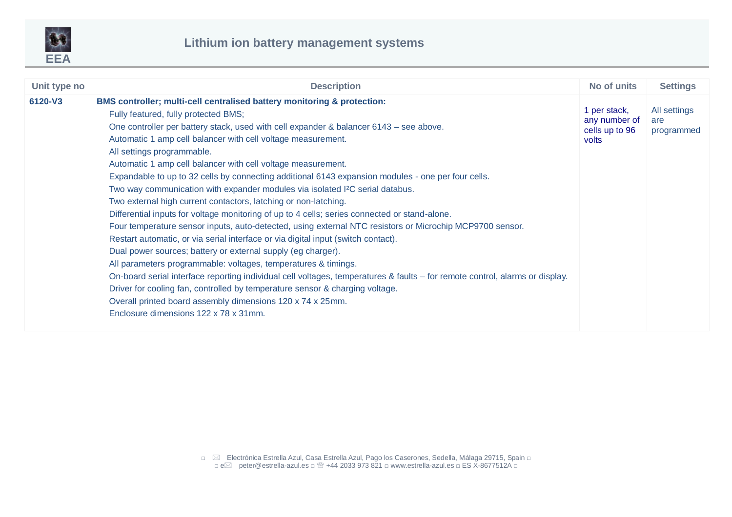

<span id="page-7-0"></span>

| Unit type no | <b>Description</b>                                                                                                                                                                                                                                                                                                                                                                                                                                                                                                                                                                                                                                                                                                                                                                                                                                                                                                                                                                                                                                                                                                                                                                                                                                                                                                                                                                                       | No of units                                              | <b>Settings</b>                   |
|--------------|----------------------------------------------------------------------------------------------------------------------------------------------------------------------------------------------------------------------------------------------------------------------------------------------------------------------------------------------------------------------------------------------------------------------------------------------------------------------------------------------------------------------------------------------------------------------------------------------------------------------------------------------------------------------------------------------------------------------------------------------------------------------------------------------------------------------------------------------------------------------------------------------------------------------------------------------------------------------------------------------------------------------------------------------------------------------------------------------------------------------------------------------------------------------------------------------------------------------------------------------------------------------------------------------------------------------------------------------------------------------------------------------------------|----------------------------------------------------------|-----------------------------------|
| 6120-V3      | BMS controller; multi-cell centralised battery monitoring & protection:<br>Fully featured, fully protected BMS;<br>One controller per battery stack, used with cell expander & balancer 6143 – see above.<br>Automatic 1 amp cell balancer with cell voltage measurement.<br>All settings programmable.<br>Automatic 1 amp cell balancer with cell voltage measurement.<br>Expandable to up to 32 cells by connecting additional 6143 expansion modules - one per four cells.<br>Two way communication with expander modules via isolated I <sup>2</sup> C serial databus.<br>Two external high current contactors, latching or non-latching.<br>Differential inputs for voltage monitoring of up to 4 cells; series connected or stand-alone.<br>Four temperature sensor inputs, auto-detected, using external NTC resistors or Microchip MCP9700 sensor.<br>Restart automatic, or via serial interface or via digital input (switch contact).<br>Dual power sources; battery or external supply (eg charger).<br>All parameters programmable: voltages, temperatures & timings.<br>On-board serial interface reporting individual cell voltages, temperatures & faults – for remote control, alarms or display.<br>Driver for cooling fan, controlled by temperature sensor & charging voltage.<br>Overall printed board assembly dimensions 120 x 74 x 25mm.<br>Enclosure dimensions 122 x 78 x 31mm. | 1 per stack,<br>any number of<br>cells up to 96<br>volts | All settings<br>are<br>programmed |